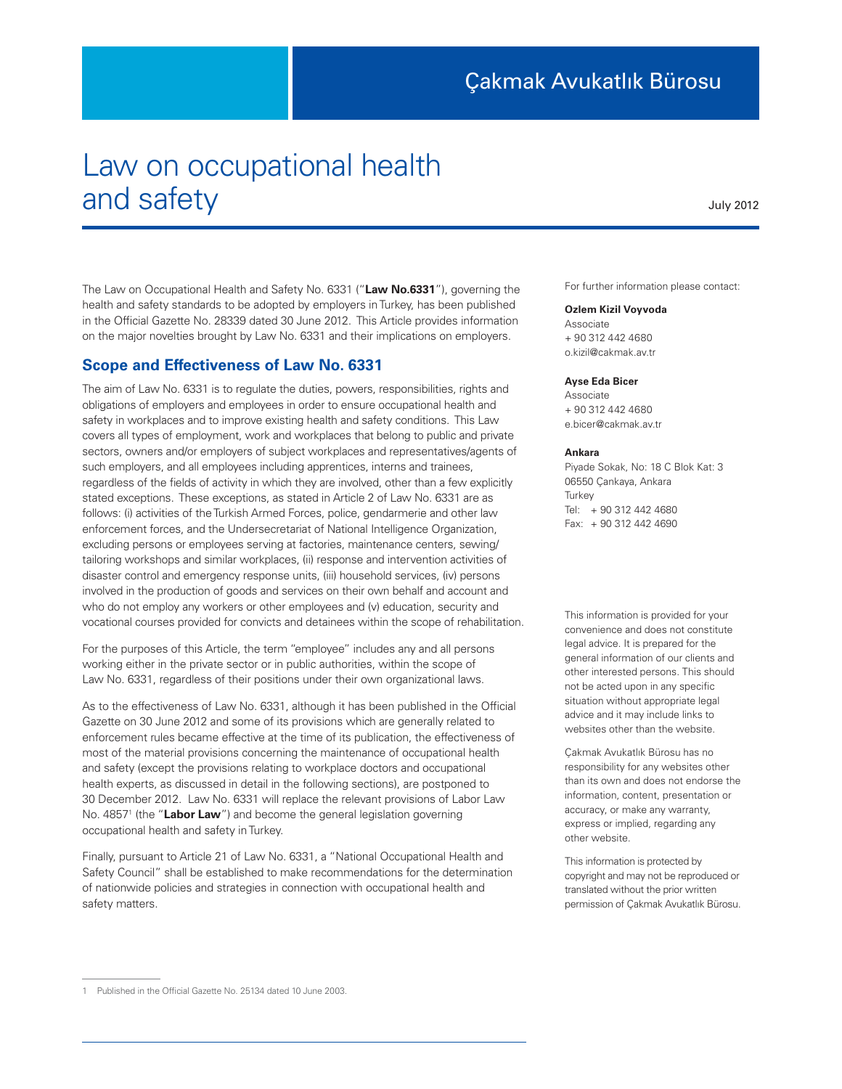# Law on occupational health and safety

July 2012

The Law on Occupational Health and Safety No. 6331 ("**Law No.6331**"), governing the health and safety standards to be adopted by employers in Turkey, has been published in the Official Gazette No. 28339 dated 30 June 2012. This Article provides information on the major novelties brought by Law No. 6331 and their implications on employers.

## **Scope and Effectiveness of Law No. 6331**

The aim of Law No. 6331 is to regulate the duties, powers, responsibilities, rights and obligations of employers and employees in order to ensure occupational health and safety in workplaces and to improve existing health and safety conditions. This Law covers all types of employment, work and workplaces that belong to public and private sectors, owners and/or employers of subject workplaces and representatives/agents of such employers, and all employees including apprentices, interns and trainees, regardless of the fields of activity in which they are involved, other than a few explicitly stated exceptions. These exceptions, as stated in Article 2 of Law No. 6331 are as follows: (i) activities of the Turkish Armed Forces, police, gendarmerie and other law enforcement forces, and the Undersecretariat of National Intelligence Organization, excluding persons or employees serving at factories, maintenance centers, sewing/ tailoring workshops and similar workplaces, (ii) response and intervention activities of disaster control and emergency response units, (iii) household services, (iv) persons involved in the production of goods and services on their own behalf and account and who do not employ any workers or other employees and (v) education, security and vocational courses provided for convicts and detainees within the scope of rehabilitation.

For the purposes of this Article, the term "employee" includes any and all persons working either in the private sector or in public authorities, within the scope of Law No. 6331, regardless of their positions under their own organizational laws.

As to the effectiveness of Law No. 6331, although it has been published in the Official Gazette on 30 June 2012 and some of its provisions which are generally related to enforcement rules became effective at the time of its publication, the effectiveness of most of the material provisions concerning the maintenance of occupational health and safety (except the provisions relating to workplace doctors and occupational health experts, as discussed in detail in the following sections), are postponed to 30 December 2012. Law No. 6331 will replace the relevant provisions of Labor Law No. 4857<sup>1</sup> (the "Labor Law") and become the general legislation governing occupational health and safety in Turkey.

Finally, pursuant to Article 21 of Law No. 6331, a "National Occupational Health and Safety Council" shall be established to make recommendations for the determination of nationwide policies and strategies in connection with occupational health and safety matters.

For further information please contact:

#### **Ozlem Kizil Voyvoda**

Associate + 90 312 442 4680 o.kizil@cakmak.av.tr

#### **Ayse Eda Bicer**

Associate + 90 312 442 4680 e.bicer@cakmak.av.tr

#### **Ankara**

Piyade Sokak, No: 18 C Blok Kat: 3 06550 Çankaya, Ankara **Turkey** Tel: + 90 312 442 4680 Fax: + 90 312 442 4690

This information is provided for your convenience and does not constitute legal advice. It is prepared for the general information of our clients and other interested persons. This should not be acted upon in any specific situation without appropriate legal advice and it may include links to websites other than the website.

Çakmak Avukatlık Bürosu has no responsibility for any websites other than its own and does not endorse the information, content, presentation or accuracy, or make any warranty, express or implied, regarding any other website.

This information is protected by copyright and may not be reproduced or translated without the prior written permission of Çakmak Avukatlık Bürosu.

<sup>1</sup> Published in the Official Gazette No. 25134 dated 10 June 2003.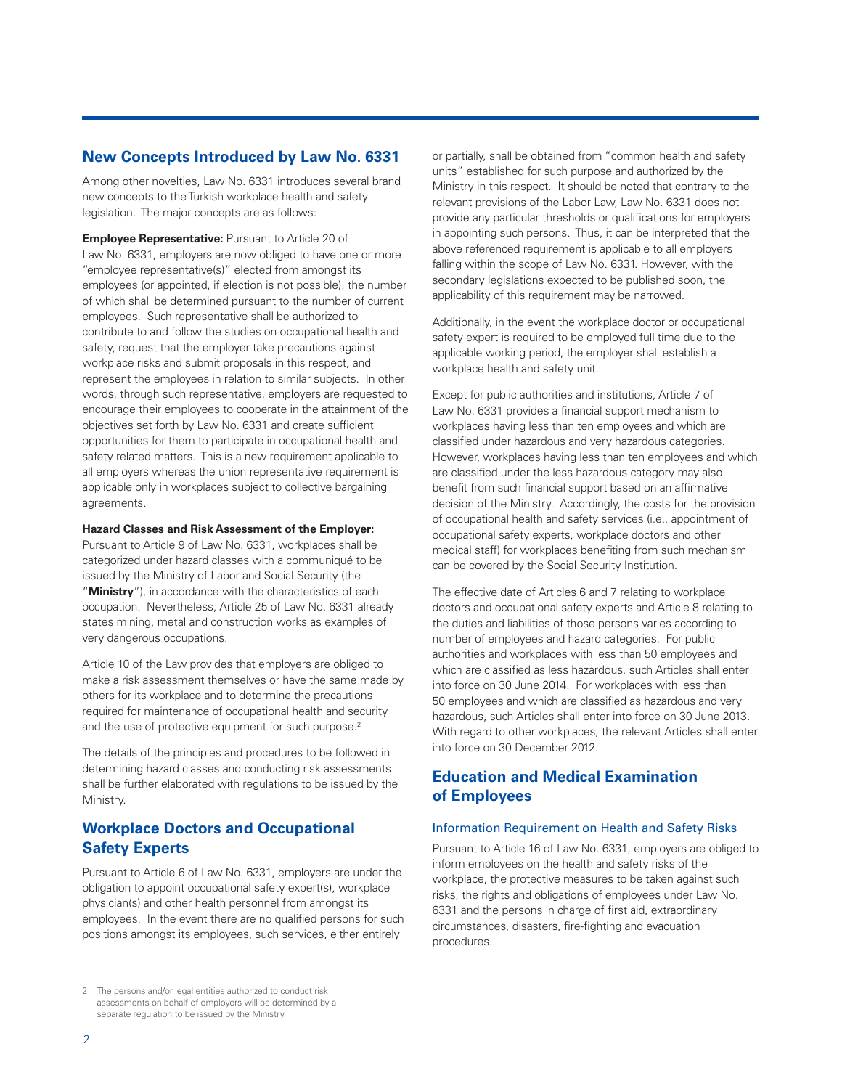## **New Concepts Introduced by Law No. 6331**

Among other novelties, Law No. 6331 introduces several brand new concepts to the Turkish workplace health and safety legislation. The major concepts are as follows:

**Employee Representative: Pursuant to Article 20 of** Law No. 6331, employers are now obliged to have one or more "employee representative(s)" elected from amongst its employees (or appointed, if election is not possible), the number of which shall be determined pursuant to the number of current employees. Such representative shall be authorized to contribute to and follow the studies on occupational health and safety, request that the employer take precautions against workplace risks and submit proposals in this respect, and represent the employees in relation to similar subjects. In other words, through such representative, employers are requested to encourage their employees to cooperate in the attainment of the objectives set forth by Law No. 6331 and create sufficient opportunities for them to participate in occupational health and safety related matters. This is a new requirement applicable to all employers whereas the union representative requirement is applicable only in workplaces subject to collective bargaining agreements.

#### **Hazard Classes and Risk Assessment of the Employer:**

Pursuant to Article 9 of Law No. 6331, workplaces shall be categorized under hazard classes with a communiqué to be issued by the Ministry of Labor and Social Security (the "**Ministry**"), in accordance with the characteristics of each occupation. Nevertheless, Article 25 of Law No. 6331 already states mining, metal and construction works as examples of very dangerous occupations.

Article 10 of the Law provides that employers are obliged to make a risk assessment themselves or have the same made by others for its workplace and to determine the precautions required for maintenance of occupational health and security and the use of protective equipment for such purpose.<sup>2</sup>

The details of the principles and procedures to be followed in determining hazard classes and conducting risk assessments shall be further elaborated with regulations to be issued by the Ministry.

# **Workplace Doctors and Occupational Safety Experts**

Pursuant to Article 6 of Law No. 6331, employers are under the obligation to appoint occupational safety expert(s), workplace physician(s) and other health personnel from amongst its employees. In the event there are no qualified persons for such positions amongst its employees, such services, either entirely

or partially, shall be obtained from "common health and safety units" established for such purpose and authorized by the Ministry in this respect. It should be noted that contrary to the relevant provisions of the Labor Law, Law No. 6331 does not provide any particular thresholds or qualifications for employers in appointing such persons. Thus, it can be interpreted that the above referenced requirement is applicable to all employers falling within the scope of Law No. 6331. However, with the secondary legislations expected to be published soon, the applicability of this requirement may be narrowed.

Additionally, in the event the workplace doctor or occupational safety expert is required to be employed full time due to the applicable working period, the employer shall establish a workplace health and safety unit.

Except for public authorities and institutions, Article 7 of Law No. 6331 provides a financial support mechanism to workplaces having less than ten employees and which are classified under hazardous and very hazardous categories. However, workplaces having less than ten employees and which are classified under the less hazardous category may also benefit from such financial support based on an affirmative decision of the Ministry. Accordingly, the costs for the provision of occupational health and safety services (i.e., appointment of occupational safety experts, workplace doctors and other medical staff) for workplaces benefiting from such mechanism can be covered by the Social Security Institution.

The effective date of Articles 6 and 7 relating to workplace doctors and occupational safety experts and Article 8 relating to the duties and liabilities of those persons varies according to number of employees and hazard categories. For public authorities and workplaces with less than 50 employees and which are classified as less hazardous, such Articles shall enter into force on 30 June 2014. For workplaces with less than 50 employees and which are classified as hazardous and very hazardous, such Articles shall enter into force on 30 June 2013. With regard to other workplaces, the relevant Articles shall enter into force on 30 December 2012.

# **Education and Medical Examination of Employees**

#### Information Requirement on Health and Safety Risks

Pursuant to Article 16 of Law No. 6331, employers are obliged to inform employees on the health and safety risks of the workplace, the protective measures to be taken against such risks, the rights and obligations of employees under Law No. 6331 and the persons in charge of first aid, extraordinary circumstances, disasters, fire-fighting and evacuation procedures.

<sup>2</sup> The persons and/or legal entities authorized to conduct risk assessments on behalf of employers will be determined by a separate regulation to be issued by the Ministry.